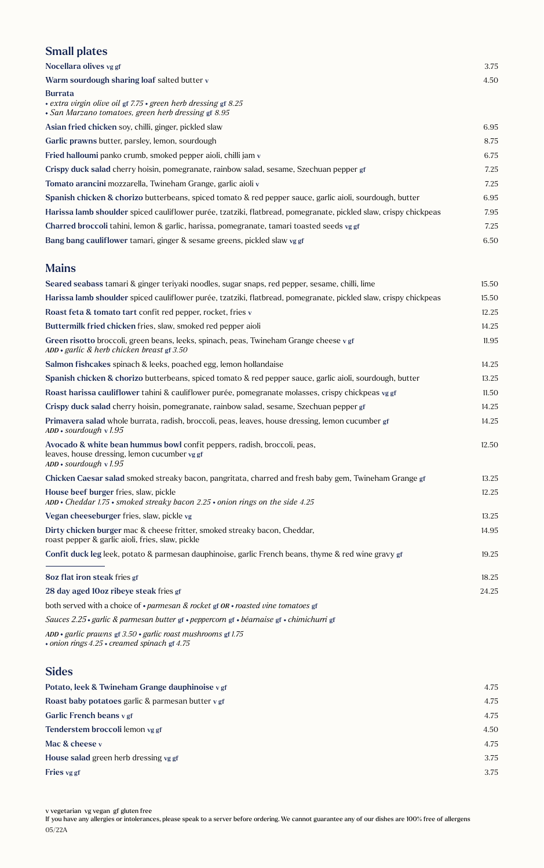#### Small plates

| Nocellara olives vg gf                                                                                                                              | 3.75 |
|-----------------------------------------------------------------------------------------------------------------------------------------------------|------|
| Warm sourdough sharing loaf salted butter v                                                                                                         | 4.50 |
| <b>Burrata</b><br>$\cdot$ extra virgin olive oil gf 7.75 $\cdot$ green herb dressing gf 8.25<br>· San Marzano tomatoes, green herb dressing gf 8.95 |      |
| Asian fried chicken soy, chilli, ginger, pickled slaw                                                                                               | 6.95 |
| Garlic prawns butter, parsley, lemon, sourdough                                                                                                     | 8.75 |
| Fried halloumi panko crumb, smoked pepper aioli, chilli jam v                                                                                       | 6.75 |
| Crispy duck salad cherry hoisin, pomegranate, rainbow salad, sesame, Szechuan pepper gf                                                             | 7.25 |
| Tomato arancini mozzarella, Twineham Grange, garlic aioli v                                                                                         | 7.25 |
| Spanish chicken & chorizo butterbeans, spiced tomato & red pepper sauce, garlic aioli, sourdough, butter                                            | 6.95 |
| Harissa lamb shoulder spiced cauliflower purée, tzatziki, flatbread, pomegranate, pickled slaw, crispy chickpeas                                    | 7.95 |
| Charred broccoli tahini, lemon & garlic, harissa, pomegranate, tamari toasted seeds vg gf                                                           | 7.25 |
| Bang bang cauliflower tamari, ginger & sesame greens, pickled slaw vg gf                                                                            | 6.50 |
|                                                                                                                                                     |      |

#### Mains

| Seared seabass tamari & ginger teriyaki noodles, sugar snaps, red pepper, sesame, chilli, lime                                                       | 15.50 |
|------------------------------------------------------------------------------------------------------------------------------------------------------|-------|
| Harissa lamb shoulder spiced cauliflower purée, tzatziki, flatbread, pomegranate, pickled slaw, crispy chickpeas                                     | 15.50 |
| Roast feta & tomato tart confit red pepper, rocket, fries v                                                                                          | 12.25 |
| Buttermilk fried chicken fries, slaw, smoked red pepper aioli                                                                                        | 14.25 |
| Green risotto broccoli, green beans, leeks, spinach, peas, Twineham Grange cheese vgf<br>$ADD \cdot$ garlic & herb chicken breast gf 3.50            | 11.95 |
| Salmon fishcakes spinach & leeks, poached egg, lemon hollandaise                                                                                     | 14.25 |
| Spanish chicken & chorizo butterbeans, spiced tomato & red pepper sauce, garlic aioli, sourdough, butter                                             | 13.25 |
| Roast harissa cauliflower tahini & cauliflower purée, pomegranate molasses, crispy chickpeas vg gf                                                   | 11.50 |
| Crispy duck salad cherry hoisin, pomegranate, rainbow salad, sesame, Szechuan pepper gf                                                              | 14.25 |
| Primavera salad whole burrata, radish, broccoli, peas, leaves, house dressing, lemon cucumber gf<br>$ADD * sourdough v 1.95$                         | 14.25 |
| Avocado & white bean hummus bowl confit peppers, radish, broccoli, peas,<br>leaves, house dressing, lemon cucumber vg gf<br>$ADD * sourdough v 1.95$ | 12.50 |
| Chicken Caesar salad smoked streaky bacon, pangritata, charred and fresh baby gem, Twineham Grange gf                                                | 13.25 |
| House beef burger fries, slaw, pickle<br>ADD · Cheddar 1.75 · smoked streaky bacon 2.25 · onion rings on the side 4.25                               | 12.25 |
| Vegan cheeseburger fries, slaw, pickle vg                                                                                                            | 13.25 |
| Dirty chicken burger mac & cheese fritter, smoked streaky bacon, Cheddar,<br>roast pepper & garlic aioli, fries, slaw, pickle                        | 14.95 |
| Confit duck leg leek, potato & parmesan dauphinoise, garlic French beans, thyme & red wine gravy gf                                                  | 19.25 |
| 8oz flat iron steak fries gf                                                                                                                         | 18.25 |
| 28 day aged 10oz ribeye steak fries gf                                                                                                               | 24.25 |
| both served with a choice of $\cdot$ parmesan & rocket gf $OR \cdot$ roasted vine tomatoes gf                                                        |       |
| Sauces 2.25 · garlic & parmesan butter gf · peppercorn gf · béarnaise gf · chimichurri gf                                                            |       |

*ADD garlic prawns* gf *3.50 garlic roast mushrooms* gf *1.75 onion rings 4.25 creamed spinach* gf *4.75*

#### Sides

| 4.75 |
|------|
| 4.75 |
| 4.75 |
| 4.50 |
| 4.75 |
| 3.75 |
| 3.75 |
|      |

If you have any allergies or intolerances, please speak to a server before ordering. We cannot guarantee any of our dishes are 100% free of allergens 05/22A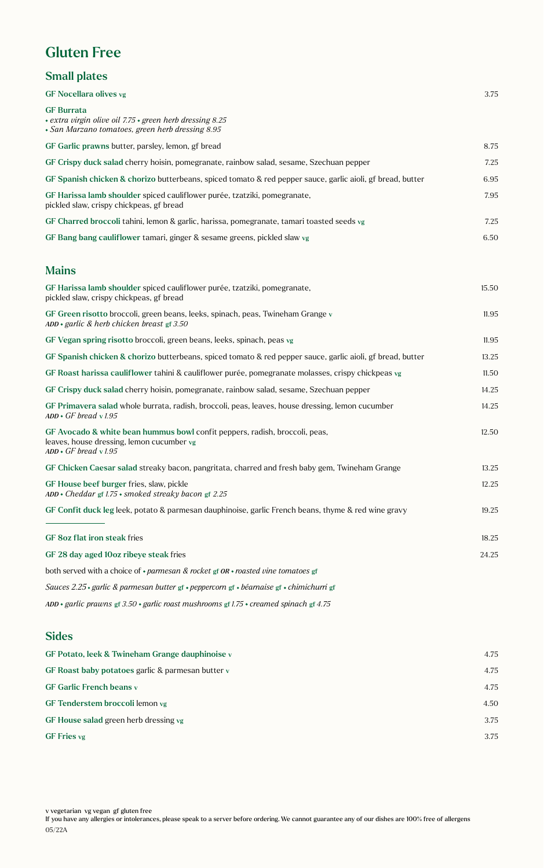## Gluten Free

#### Small plates

| GF Nocellara olives vg                                                                                                                                 | 3.75  |
|--------------------------------------------------------------------------------------------------------------------------------------------------------|-------|
| <b>GF Burrata</b><br>+ extra virgin olive oil 7.75 + green herb dressing 8.25<br>• San Marzano tomatoes, green herb dressing 8.95                      |       |
| GF Garlic prawns butter, parsley, lemon, gf bread                                                                                                      | 8.75  |
| GF Crispy duck salad cherry hoisin, pomegranate, rainbow salad, sesame, Szechuan pepper                                                                | 7.25  |
| GF Spanish chicken & chorizo butterbeans, spiced tomato & red pepper sauce, garlic aioli, gf bread, butter                                             | 6.95  |
| GF Harissa lamb shoulder spiced cauliflower purée, tzatziki, pomegranate,<br>pickled slaw, crispy chickpeas, gf bread                                  | 7.95  |
| GF Charred broccoli tahini, lemon & garlic, harissa, pomegranate, tamari toasted seeds vg                                                              | 7.25  |
| GF Bang bang cauliflower tamari, ginger & sesame greens, pickled slaw vg                                                                               | 6.50  |
| <b>Mains</b>                                                                                                                                           |       |
| GF Harissa lamb shoulder spiced cauliflower purée, tzatziki, pomegranate,<br>pickled slaw, crispy chickpeas, gf bread                                  | 15.50 |
| GF Green risotto broccoli, green beans, leeks, spinach, peas, Twineham Grange $\nu$<br>$ADD \cdot$ garlic & herb chicken breast gf 3.50                | 11.95 |
| GF Vegan spring risotto broccoli, green beans, leeks, spinach, peas vg                                                                                 | 11.95 |
| GF Spanish chicken & chorizo butterbeans, spiced tomato & red pepper sauce, garlic aioli, gf bread, butter                                             | 13.25 |
| GF Roast harissa cauliflower tahini & cauliflower purée, pomegranate molasses, crispy chickpeas vg                                                     | 11.50 |
| GF Crispy duck salad cherry hoisin, pomegranate, rainbow salad, sesame, Szechuan pepper                                                                | 14.25 |
| GF Primavera salad whole burrata, radish, broccoli, peas, leaves, house dressing, lemon cucumber<br>$ADD \cdot GF$ bread v1.95                         | 14.25 |
| GF Avocado & white bean hummus bowl confit peppers, radish, broccoli, peas,<br>leaves, house dressing, lemon cucumber vg<br>$ADD \cdot GF$ bread v1.95 | 12.50 |
| GF Chicken Caesar salad streaky bacon, pangritata, charred and fresh baby gem, Twineham Grange                                                         | 13.25 |
| GF House beef burger fries, slaw, pickle<br>$ADD * Cheddar$ gf 1.75 $*$ smoked streaky bacon gf 2.25                                                   | 12.25 |
| GF Confit duck leg leek, potato & parmesan dauphinoise, garlic French beans, thyme & red wine gravy                                                    | 19.25 |
| GF 8oz flat iron steak fries                                                                                                                           | 18.25 |
| GF 28 day aged 10oz ribeye steak fries                                                                                                                 | 24.25 |
| both served with a choice of $\cdot$ parmesan & rocket gf OR $\cdot$ roasted vine tomatoes gf                                                          |       |
| Sauces 2.25 · garlic & parmesan butter gf · peppercorn gf · béarnaise gf · chimichurri gf                                                              |       |
| ADD • garlic prawns gf 3.50 • garlic roast mushrooms gf 1.75 • creamed spinach gf 4.75                                                                 |       |
| <b>Sides</b>                                                                                                                                           |       |

### GF Potato, leek & Twineham Grange dauphinoise v 4.75 GF Roast baby potatoes garlic & parmesan butter v 4.75 GF Garlic French beans v 4.75 GF Tenderstem broccoli lemon vg 4.50 GF House salad green herb dressing vg 3.75 GF Fries vg  $3.75$

v vegetarian vg vegan gf gluten free

If you have any allergies or intolerances, please speak to a server before ordering. We cannot guarantee any of our dishes are 100% free of allergens 05/22A